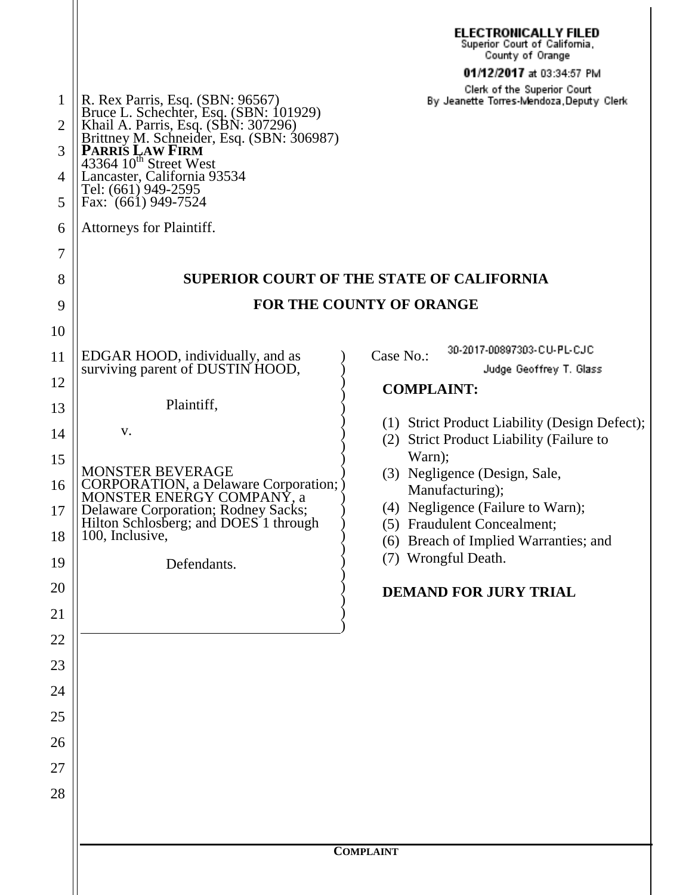| 1<br>$\overline{2}$<br>3<br>4<br>5<br>6<br>7<br>8 | R. Rex Parris, Esq. (SBN: 96567)<br>Bruce L. Schechter, Esq. (SBN: 101929)<br>Khail A. Parris, Esq. (SBN: 307296)<br>Brittney M. Schneider, Esq. (SBN: 306987)<br>PARRIS LAW FIRM<br>43364 10 <sup>th</sup> Street West<br>Lancaster, California 93534<br>Tel: (661) 949-2595<br>Fax: (661) 949-7524<br>Attorneys for Plaintiff. | <b>ELECTRONICALLY FILED</b><br>Superior Court of California,<br>County of Orange<br>01/12/2017 at 03:34:57 PM<br>Clerk of the Superior Court<br>By Jeanette Torres-Mendoza, Deputy Clerk<br><b>SUPERIOR COURT OF THE STATE OF CALIFORNIA</b> |  |  |
|---------------------------------------------------|----------------------------------------------------------------------------------------------------------------------------------------------------------------------------------------------------------------------------------------------------------------------------------------------------------------------------------|----------------------------------------------------------------------------------------------------------------------------------------------------------------------------------------------------------------------------------------------|--|--|
| 9                                                 | <b>FOR THE COUNTY OF ORANGE</b>                                                                                                                                                                                                                                                                                                  |                                                                                                                                                                                                                                              |  |  |
| 10                                                |                                                                                                                                                                                                                                                                                                                                  |                                                                                                                                                                                                                                              |  |  |
| 11                                                | EDGAR HOOD, individually, and as                                                                                                                                                                                                                                                                                                 | 30-2017-00897303-CU-PL-CJC<br>Case No.:                                                                                                                                                                                                      |  |  |
| 12                                                | surviving parent of DUSTIN HOOD,                                                                                                                                                                                                                                                                                                 | Judge Geoffrey T. Glass<br><b>COMPLAINT:</b>                                                                                                                                                                                                 |  |  |
| 13                                                | Plaintiff,                                                                                                                                                                                                                                                                                                                       |                                                                                                                                                                                                                                              |  |  |
| 14                                                | V.                                                                                                                                                                                                                                                                                                                               | (1) Strict Product Liability (Design Defect);<br>(2) Strict Product Liability (Failure to                                                                                                                                                    |  |  |
| 15                                                | <b>MONSTER BEVERAGE</b><br>CORPORATION, a Delaware Corporation; )<br>MONSTER ENERGY COMPANY, a<br>Delaware Corporation; Rodney Sacks;<br>Hilton Schlosberg; and DOES <sup>1</sup> through<br>100, Inclusive,                                                                                                                     | Warn);<br>(3) Negligence (Design, Sale,<br>Manufacturing);<br>(4) Negligence (Failure to Warn);<br>(5) Fraudulent Concealment;<br>(6) Breach of Implied Warranties; and<br>(7) Wrongful Death.                                               |  |  |
| 16<br>17                                          |                                                                                                                                                                                                                                                                                                                                  |                                                                                                                                                                                                                                              |  |  |
| 18                                                |                                                                                                                                                                                                                                                                                                                                  |                                                                                                                                                                                                                                              |  |  |
| 19                                                | Defendants.                                                                                                                                                                                                                                                                                                                      |                                                                                                                                                                                                                                              |  |  |
| 20                                                |                                                                                                                                                                                                                                                                                                                                  | <b>DEMAND FOR JURY TRIAL</b>                                                                                                                                                                                                                 |  |  |
| 21                                                |                                                                                                                                                                                                                                                                                                                                  |                                                                                                                                                                                                                                              |  |  |
| 22                                                |                                                                                                                                                                                                                                                                                                                                  |                                                                                                                                                                                                                                              |  |  |
| 23                                                |                                                                                                                                                                                                                                                                                                                                  |                                                                                                                                                                                                                                              |  |  |
| 24                                                |                                                                                                                                                                                                                                                                                                                                  |                                                                                                                                                                                                                                              |  |  |
| 25                                                |                                                                                                                                                                                                                                                                                                                                  |                                                                                                                                                                                                                                              |  |  |
| 26                                                |                                                                                                                                                                                                                                                                                                                                  |                                                                                                                                                                                                                                              |  |  |
| 27                                                |                                                                                                                                                                                                                                                                                                                                  |                                                                                                                                                                                                                                              |  |  |
| 28                                                |                                                                                                                                                                                                                                                                                                                                  |                                                                                                                                                                                                                                              |  |  |
|                                                   |                                                                                                                                                                                                                                                                                                                                  |                                                                                                                                                                                                                                              |  |  |
|                                                   | <b>COMPLAINT</b>                                                                                                                                                                                                                                                                                                                 |                                                                                                                                                                                                                                              |  |  |

 $\parallel$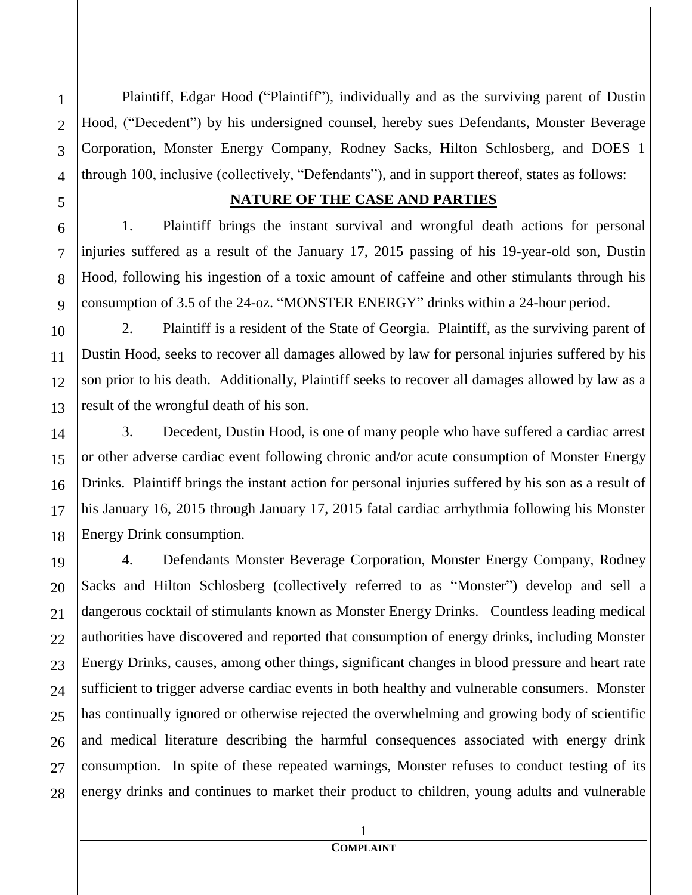Plaintiff, Edgar Hood ("Plaintiff"), individually and as the surviving parent of Dustin Hood, ("Decedent") by his undersigned counsel, hereby sues Defendants, Monster Beverage Corporation, Monster Energy Company, Rodney Sacks, Hilton Schlosberg, and DOES 1 through 100, inclusive (collectively, "Defendants"), and in support thereof, states as follows:

#### **NATURE OF THE CASE AND PARTIES**

1. Plaintiff brings the instant survival and wrongful death actions for personal injuries suffered as a result of the January 17, 2015 passing of his 19-year-old son, Dustin Hood, following his ingestion of a toxic amount of caffeine and other stimulants through his consumption of 3.5 of the 24-oz. "MONSTER ENERGY" drinks within a 24-hour period.

2. Plaintiff is a resident of the State of Georgia. Plaintiff, as the surviving parent of Dustin Hood, seeks to recover all damages allowed by law for personal injuries suffered by his son prior to his death. Additionally, Plaintiff seeks to recover all damages allowed by law as a result of the wrongful death of his son.

3. Decedent, Dustin Hood, is one of many people who have suffered a cardiac arrest or other adverse cardiac event following chronic and/or acute consumption of Monster Energy Drinks. Plaintiff brings the instant action for personal injuries suffered by his son as a result of his January 16, 2015 through January 17, 2015 fatal cardiac arrhythmia following his Monster Energy Drink consumption.

4. Defendants Monster Beverage Corporation, Monster Energy Company, Rodney Sacks and Hilton Schlosberg (collectively referred to as "Monster") develop and sell a dangerous cocktail of stimulants known as Monster Energy Drinks. Countless leading medical authorities have discovered and reported that consumption of energy drinks, including Monster Energy Drinks, causes, among other things, significant changes in blood pressure and heart rate sufficient to trigger adverse cardiac events in both healthy and vulnerable consumers. Monster has continually ignored or otherwise rejected the overwhelming and growing body of scientific and medical literature describing the harmful consequences associated with energy drink consumption. In spite of these repeated warnings, Monster refuses to conduct testing of its energy drinks and continues to market their product to children, young adults and vulnerable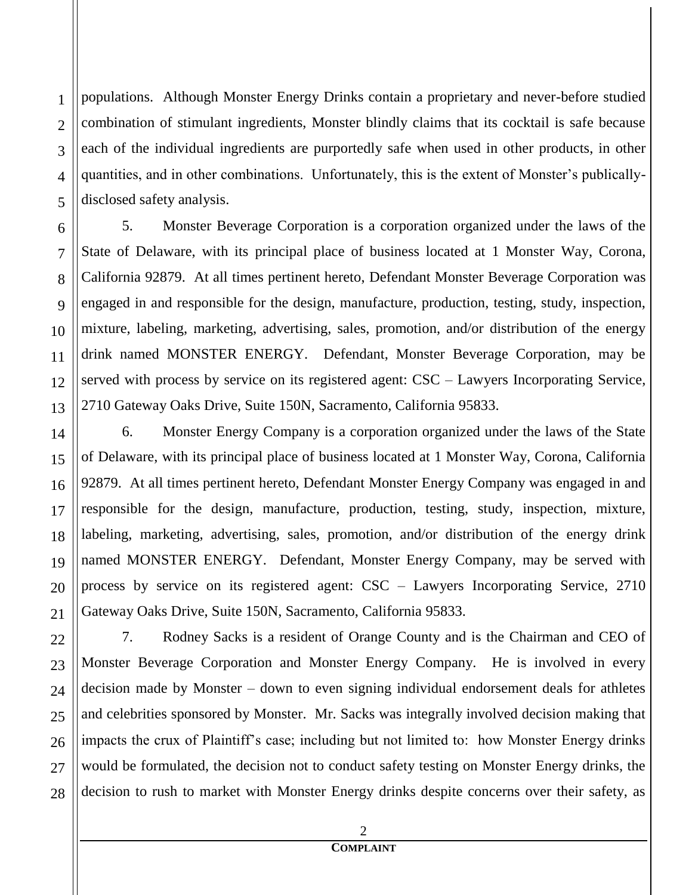populations. Although Monster Energy Drinks contain a proprietary and never-before studied combination of stimulant ingredients, Monster blindly claims that its cocktail is safe because each of the individual ingredients are purportedly safe when used in other products, in other quantities, and in other combinations. Unfortunately, this is the extent of Monster's publicallydisclosed safety analysis.

5. Monster Beverage Corporation is a corporation organized under the laws of the State of Delaware, with its principal place of business located at 1 Monster Way, Corona, California 92879. At all times pertinent hereto, Defendant Monster Beverage Corporation was engaged in and responsible for the design, manufacture, production, testing, study, inspection, mixture, labeling, marketing, advertising, sales, promotion, and/or distribution of the energy drink named MONSTER ENERGY. Defendant, Monster Beverage Corporation, may be served with process by service on its registered agent: CSC – Lawyers Incorporating Service, 2710 Gateway Oaks Drive, Suite 150N, Sacramento, California 95833.

6. Monster Energy Company is a corporation organized under the laws of the State of Delaware, with its principal place of business located at 1 Monster Way, Corona, California 92879. At all times pertinent hereto, Defendant Monster Energy Company was engaged in and responsible for the design, manufacture, production, testing, study, inspection, mixture, labeling, marketing, advertising, sales, promotion, and/or distribution of the energy drink named MONSTER ENERGY. Defendant, Monster Energy Company, may be served with process by service on its registered agent: CSC – Lawyers Incorporating Service, 2710 Gateway Oaks Drive, Suite 150N, Sacramento, California 95833.

7. Rodney Sacks is a resident of Orange County and is the Chairman and CEO of Monster Beverage Corporation and Monster Energy Company. He is involved in every decision made by Monster – down to even signing individual endorsement deals for athletes and celebrities sponsored by Monster. Mr. Sacks was integrally involved decision making that impacts the crux of Plaintiff's case; including but not limited to: how Monster Energy drinks would be formulated, the decision not to conduct safety testing on Monster Energy drinks, the decision to rush to market with Monster Energy drinks despite concerns over their safety, as

1

2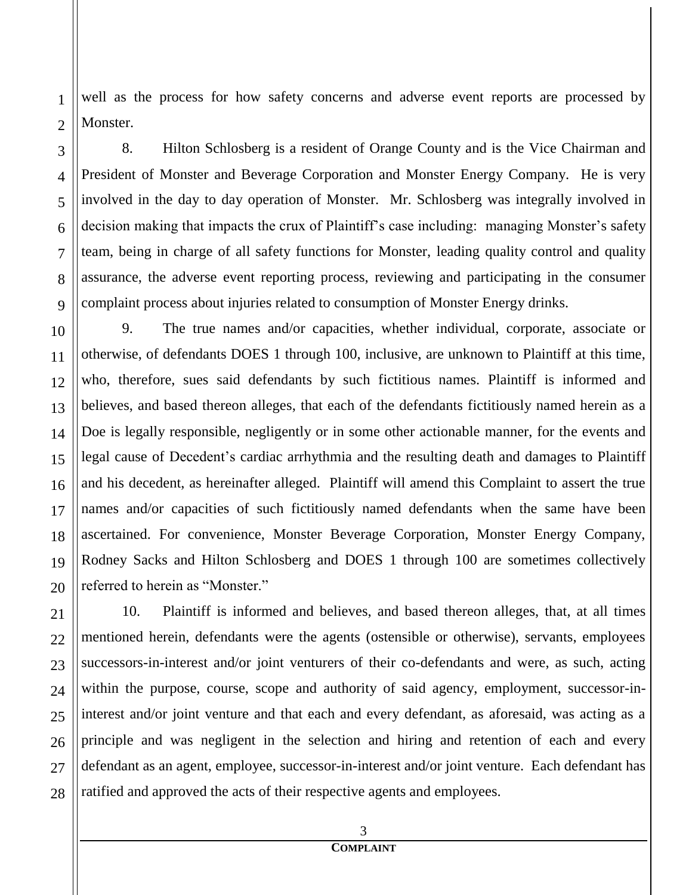well as the process for how safety concerns and adverse event reports are processed by Monster.

8. Hilton Schlosberg is a resident of Orange County and is the Vice Chairman and President of Monster and Beverage Corporation and Monster Energy Company. He is very involved in the day to day operation of Monster. Mr. Schlosberg was integrally involved in decision making that impacts the crux of Plaintiff's case including: managing Monster's safety team, being in charge of all safety functions for Monster, leading quality control and quality assurance, the adverse event reporting process, reviewing and participating in the consumer complaint process about injuries related to consumption of Monster Energy drinks.

9. The true names and/or capacities, whether individual, corporate, associate or otherwise, of defendants DOES 1 through 100, inclusive, are unknown to Plaintiff at this time, who, therefore, sues said defendants by such fictitious names. Plaintiff is informed and believes, and based thereon alleges, that each of the defendants fictitiously named herein as a Doe is legally responsible, negligently or in some other actionable manner, for the events and legal cause of Decedent's cardiac arrhythmia and the resulting death and damages to Plaintiff and his decedent, as hereinafter alleged. Plaintiff will amend this Complaint to assert the true names and/or capacities of such fictitiously named defendants when the same have been ascertained. For convenience, Monster Beverage Corporation, Monster Energy Company, Rodney Sacks and Hilton Schlosberg and DOES 1 through 100 are sometimes collectively referred to herein as "Monster."

10. Plaintiff is informed and believes, and based thereon alleges, that, at all times mentioned herein, defendants were the agents (ostensible or otherwise), servants, employees successors-in-interest and/or joint venturers of their co-defendants and were, as such, acting within the purpose, course, scope and authority of said agency, employment, successor-ininterest and/or joint venture and that each and every defendant, as aforesaid, was acting as a principle and was negligent in the selection and hiring and retention of each and every defendant as an agent, employee, successor-in-interest and/or joint venture. Each defendant has ratified and approved the acts of their respective agents and employees.

1

2

3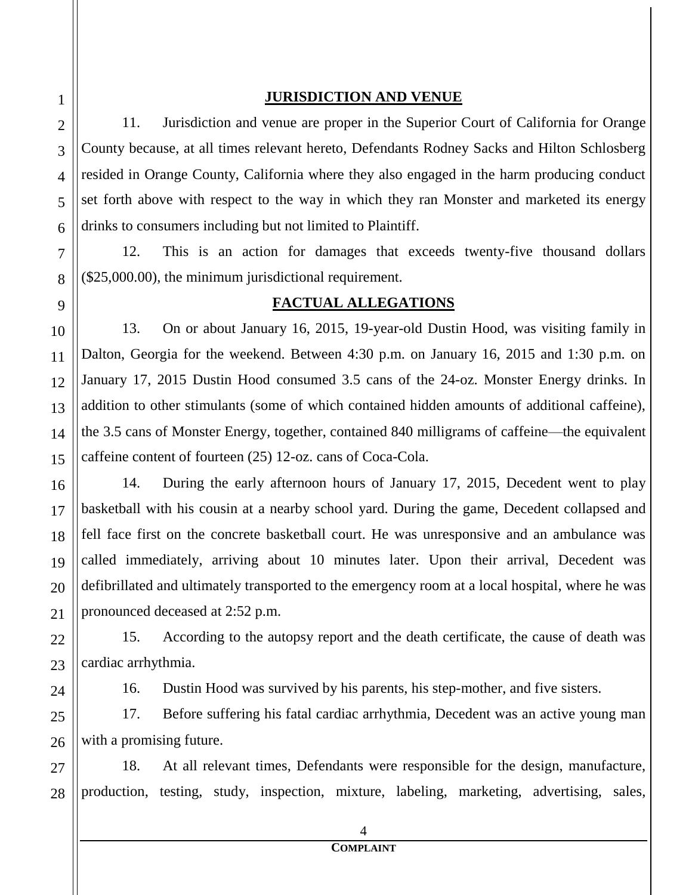#### **JURISDICTION AND VENUE**

11. Jurisdiction and venue are proper in the Superior Court of California for Orange County because, at all times relevant hereto, Defendants Rodney Sacks and Hilton Schlosberg resided in Orange County, California where they also engaged in the harm producing conduct set forth above with respect to the way in which they ran Monster and marketed its energy drinks to consumers including but not limited to Plaintiff.

12. This is an action for damages that exceeds twenty-five thousand dollars (\$25,000.00), the minimum jurisdictional requirement.

## **FACTUAL ALLEGATIONS**

13. On or about January 16, 2015, 19-year-old Dustin Hood, was visiting family in Dalton, Georgia for the weekend. Between 4:30 p.m. on January 16, 2015 and 1:30 p.m. on January 17, 2015 Dustin Hood consumed 3.5 cans of the 24-oz. Monster Energy drinks. In addition to other stimulants (some of which contained hidden amounts of additional caffeine), the 3.5 cans of Monster Energy, together, contained 840 milligrams of caffeine—the equivalent caffeine content of fourteen (25) 12-oz. cans of Coca-Cola.

14. During the early afternoon hours of January 17, 2015, Decedent went to play basketball with his cousin at a nearby school yard. During the game, Decedent collapsed and fell face first on the concrete basketball court. He was unresponsive and an ambulance was called immediately, arriving about 10 minutes later. Upon their arrival, Decedent was defibrillated and ultimately transported to the emergency room at a local hospital, where he was pronounced deceased at 2:52 p.m.

15. According to the autopsy report and the death certificate, the cause of death was cardiac arrhythmia.

16. Dustin Hood was survived by his parents, his step-mother, and five sisters.

17. Before suffering his fatal cardiac arrhythmia, Decedent was an active young man with a promising future.

18. At all relevant times, Defendants were responsible for the design, manufacture, production, testing, study, inspection, mixture, labeling, marketing, advertising, sales,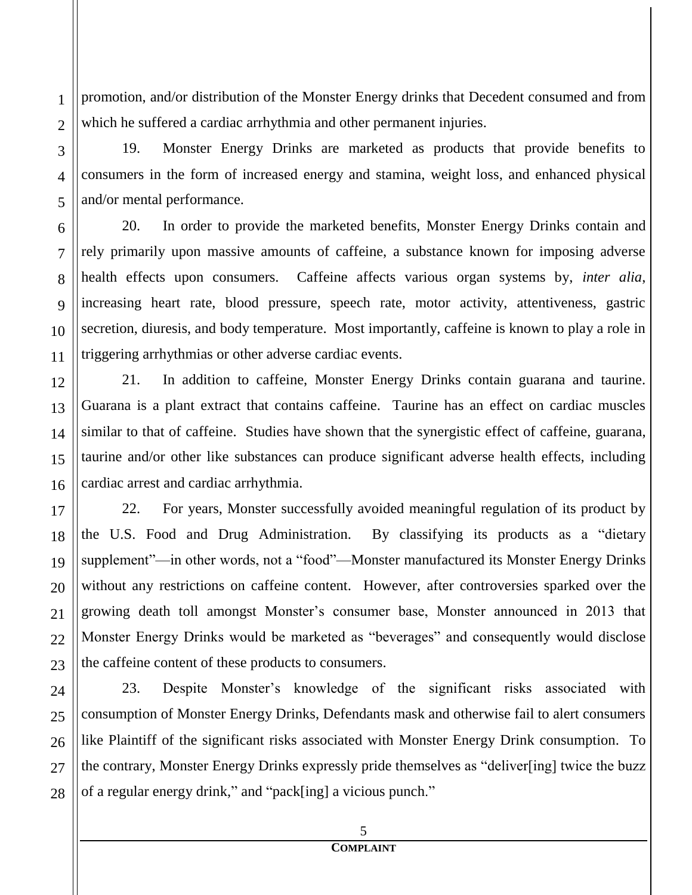promotion, and/or distribution of the Monster Energy drinks that Decedent consumed and from which he suffered a cardiac arrhythmia and other permanent injuries.

19. Monster Energy Drinks are marketed as products that provide benefits to consumers in the form of increased energy and stamina, weight loss, and enhanced physical and/or mental performance.

20. In order to provide the marketed benefits, Monster Energy Drinks contain and rely primarily upon massive amounts of caffeine, a substance known for imposing adverse health effects upon consumers. Caffeine affects various organ systems by, *inter alia*, increasing heart rate, blood pressure, speech rate, motor activity, attentiveness, gastric secretion, diuresis, and body temperature. Most importantly, caffeine is known to play a role in triggering arrhythmias or other adverse cardiac events.

21. In addition to caffeine, Monster Energy Drinks contain guarana and taurine. Guarana is a plant extract that contains caffeine. Taurine has an effect on cardiac muscles similar to that of caffeine. Studies have shown that the synergistic effect of caffeine, guarana, taurine and/or other like substances can produce significant adverse health effects, including cardiac arrest and cardiac arrhythmia.

22. For years, Monster successfully avoided meaningful regulation of its product by the U.S. Food and Drug Administration. By classifying its products as a "dietary supplement"—in other words, not a "food"—Monster manufactured its Monster Energy Drinks without any restrictions on caffeine content. However, after controversies sparked over the growing death toll amongst Monster's consumer base, Monster announced in 2013 that Monster Energy Drinks would be marketed as "beverages" and consequently would disclose the caffeine content of these products to consumers.

23. Despite Monster's knowledge of the significant risks associated with consumption of Monster Energy Drinks, Defendants mask and otherwise fail to alert consumers like Plaintiff of the significant risks associated with Monster Energy Drink consumption. To the contrary, Monster Energy Drinks expressly pride themselves as "deliver[ing] twice the buzz of a regular energy drink," and "pack[ing] a vicious punch."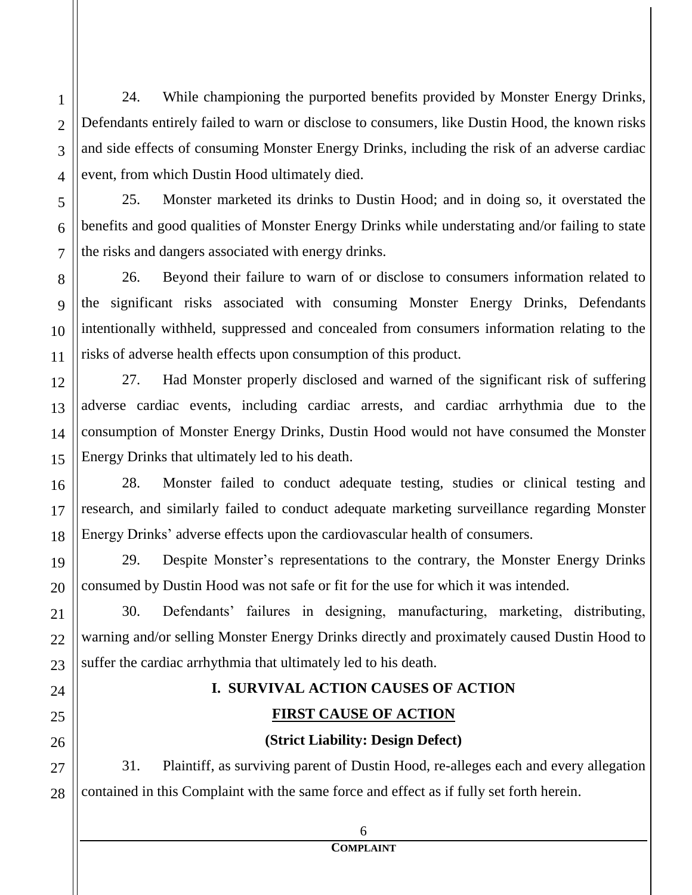24. While championing the purported benefits provided by Monster Energy Drinks, Defendants entirely failed to warn or disclose to consumers, like Dustin Hood, the known risks and side effects of consuming Monster Energy Drinks, including the risk of an adverse cardiac event, from which Dustin Hood ultimately died.

25. Monster marketed its drinks to Dustin Hood; and in doing so, it overstated the benefits and good qualities of Monster Energy Drinks while understating and/or failing to state the risks and dangers associated with energy drinks.

26. Beyond their failure to warn of or disclose to consumers information related to the significant risks associated with consuming Monster Energy Drinks, Defendants intentionally withheld, suppressed and concealed from consumers information relating to the risks of adverse health effects upon consumption of this product.

27. Had Monster properly disclosed and warned of the significant risk of suffering adverse cardiac events, including cardiac arrests, and cardiac arrhythmia due to the consumption of Monster Energy Drinks, Dustin Hood would not have consumed the Monster Energy Drinks that ultimately led to his death.

28. Monster failed to conduct adequate testing, studies or clinical testing and research, and similarly failed to conduct adequate marketing surveillance regarding Monster Energy Drinks' adverse effects upon the cardiovascular health of consumers.

29. Despite Monster's representations to the contrary, the Monster Energy Drinks consumed by Dustin Hood was not safe or fit for the use for which it was intended.

30. Defendants' failures in designing, manufacturing, marketing, distributing, warning and/or selling Monster Energy Drinks directly and proximately caused Dustin Hood to suffer the cardiac arrhythmia that ultimately led to his death.

# **I. SURVIVAL ACTION CAUSES OF ACTION**

## **FIRST CAUSE OF ACTION**

#### **(Strict Liability: Design Defect)**

31. Plaintiff, as surviving parent of Dustin Hood, re-alleges each and every allegation contained in this Complaint with the same force and effect as if fully set forth herein.

28

1

2

3

4

5

6

7

8

9

10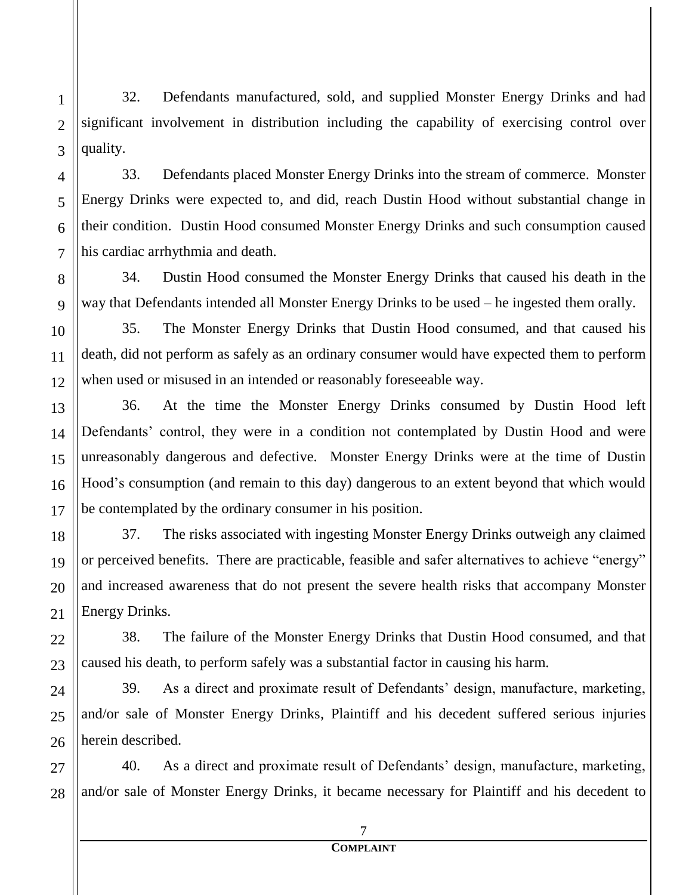32. Defendants manufactured, sold, and supplied Monster Energy Drinks and had significant involvement in distribution including the capability of exercising control over quality.

33. Defendants placed Monster Energy Drinks into the stream of commerce. Monster Energy Drinks were expected to, and did, reach Dustin Hood without substantial change in their condition. Dustin Hood consumed Monster Energy Drinks and such consumption caused his cardiac arrhythmia and death.

34. Dustin Hood consumed the Monster Energy Drinks that caused his death in the way that Defendants intended all Monster Energy Drinks to be used – he ingested them orally.

35. The Monster Energy Drinks that Dustin Hood consumed, and that caused his death, did not perform as safely as an ordinary consumer would have expected them to perform when used or misused in an intended or reasonably foreseeable way.

36. At the time the Monster Energy Drinks consumed by Dustin Hood left Defendants' control, they were in a condition not contemplated by Dustin Hood and were unreasonably dangerous and defective. Monster Energy Drinks were at the time of Dustin Hood's consumption (and remain to this day) dangerous to an extent beyond that which would be contemplated by the ordinary consumer in his position.

37. The risks associated with ingesting Monster Energy Drinks outweigh any claimed or perceived benefits. There are practicable, feasible and safer alternatives to achieve "energy" and increased awareness that do not present the severe health risks that accompany Monster Energy Drinks.

38. The failure of the Monster Energy Drinks that Dustin Hood consumed, and that caused his death, to perform safely was a substantial factor in causing his harm.

39. As a direct and proximate result of Defendants' design, manufacture, marketing, and/or sale of Monster Energy Drinks, Plaintiff and his decedent suffered serious injuries herein described.

40. As a direct and proximate result of Defendants' design, manufacture, marketing, and/or sale of Monster Energy Drinks, it became necessary for Plaintiff and his decedent to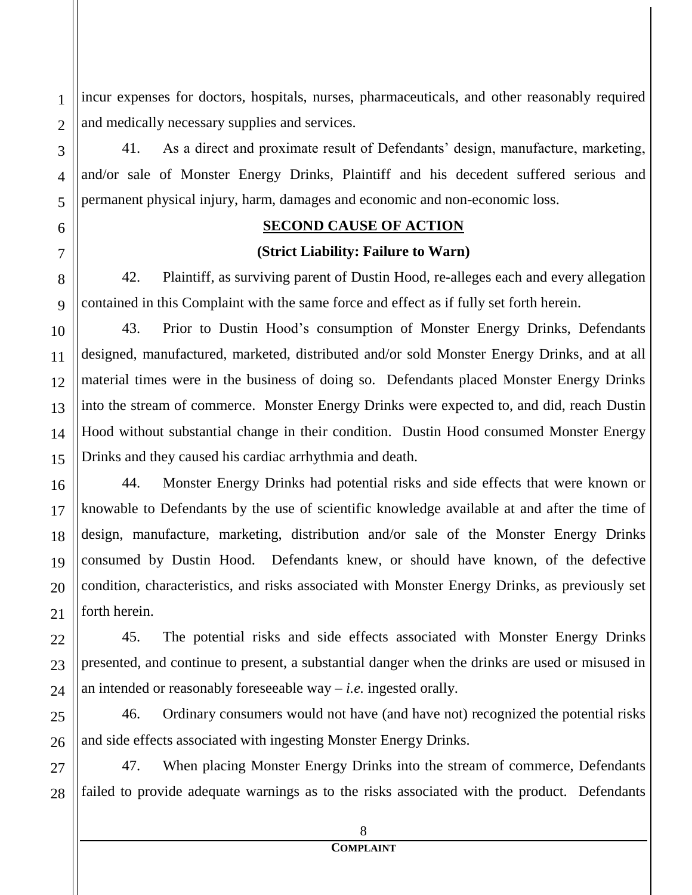incur expenses for doctors, hospitals, nurses, pharmaceuticals, and other reasonably required and medically necessary supplies and services.

41. As a direct and proximate result of Defendants' design, manufacture, marketing, and/or sale of Monster Energy Drinks, Plaintiff and his decedent suffered serious and permanent physical injury, harm, damages and economic and non-economic loss.

#### **SECOND CAUSE OF ACTION**

#### **(Strict Liability: Failure to Warn)**

42. Plaintiff, as surviving parent of Dustin Hood, re-alleges each and every allegation contained in this Complaint with the same force and effect as if fully set forth herein.

43. Prior to Dustin Hood's consumption of Monster Energy Drinks, Defendants designed, manufactured, marketed, distributed and/or sold Monster Energy Drinks, and at all material times were in the business of doing so. Defendants placed Monster Energy Drinks into the stream of commerce. Monster Energy Drinks were expected to, and did, reach Dustin Hood without substantial change in their condition. Dustin Hood consumed Monster Energy Drinks and they caused his cardiac arrhythmia and death.

44. Monster Energy Drinks had potential risks and side effects that were known or knowable to Defendants by the use of scientific knowledge available at and after the time of design, manufacture, marketing, distribution and/or sale of the Monster Energy Drinks consumed by Dustin Hood. Defendants knew, or should have known, of the defective condition, characteristics, and risks associated with Monster Energy Drinks, as previously set forth herein.

45. The potential risks and side effects associated with Monster Energy Drinks presented, and continue to present, a substantial danger when the drinks are used or misused in an intended or reasonably foreseeable way – *i.e.* ingested orally.

46. Ordinary consumers would not have (and have not) recognized the potential risks and side effects associated with ingesting Monster Energy Drinks.

47. When placing Monster Energy Drinks into the stream of commerce, Defendants failed to provide adequate warnings as to the risks associated with the product. Defendants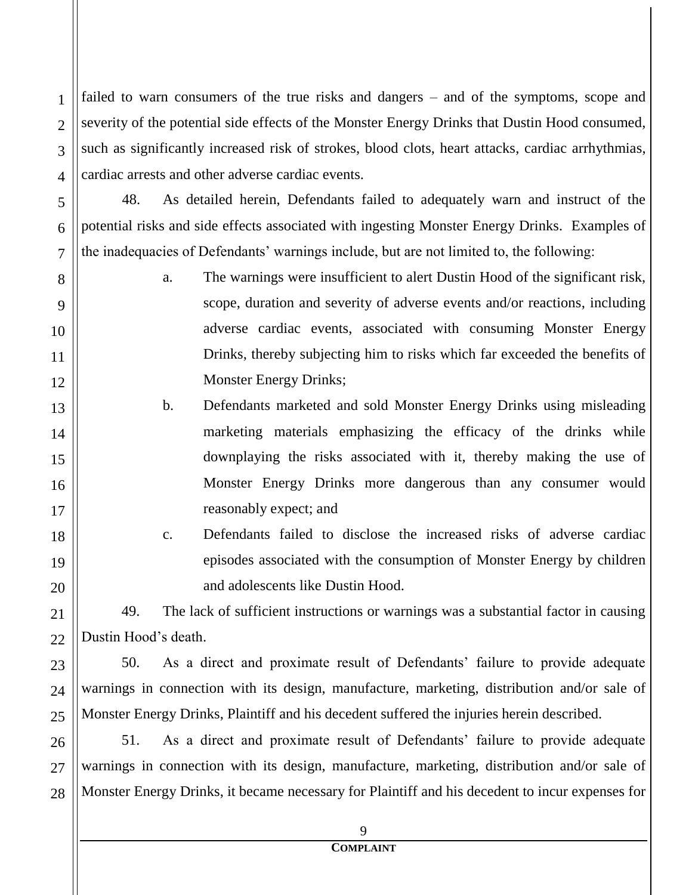failed to warn consumers of the true risks and dangers – and of the symptoms, scope and severity of the potential side effects of the Monster Energy Drinks that Dustin Hood consumed, such as significantly increased risk of strokes, blood clots, heart attacks, cardiac arrhythmias, cardiac arrests and other adverse cardiac events.

48. As detailed herein, Defendants failed to adequately warn and instruct of the potential risks and side effects associated with ingesting Monster Energy Drinks. Examples of the inadequacies of Defendants' warnings include, but are not limited to, the following:

- a. The warnings were insufficient to alert Dustin Hood of the significant risk, scope, duration and severity of adverse events and/or reactions, including adverse cardiac events, associated with consuming Monster Energy Drinks, thereby subjecting him to risks which far exceeded the benefits of Monster Energy Drinks;
	- b. Defendants marketed and sold Monster Energy Drinks using misleading marketing materials emphasizing the efficacy of the drinks while downplaying the risks associated with it, thereby making the use of Monster Energy Drinks more dangerous than any consumer would reasonably expect; and
		- c. Defendants failed to disclose the increased risks of adverse cardiac episodes associated with the consumption of Monster Energy by children and adolescents like Dustin Hood.

49. The lack of sufficient instructions or warnings was a substantial factor in causing Dustin Hood's death.

50. As a direct and proximate result of Defendants' failure to provide adequate warnings in connection with its design, manufacture, marketing, distribution and/or sale of Monster Energy Drinks, Plaintiff and his decedent suffered the injuries herein described.

26 27 51. As a direct and proximate result of Defendants' failure to provide adequate warnings in connection with its design, manufacture, marketing, distribution and/or sale of Monster Energy Drinks, it became necessary for Plaintiff and his decedent to incur expenses for

1

2

3

4

5

6

7

8

9

10

11

12

13

14

15

16

17

18

19

20

21

22

23

24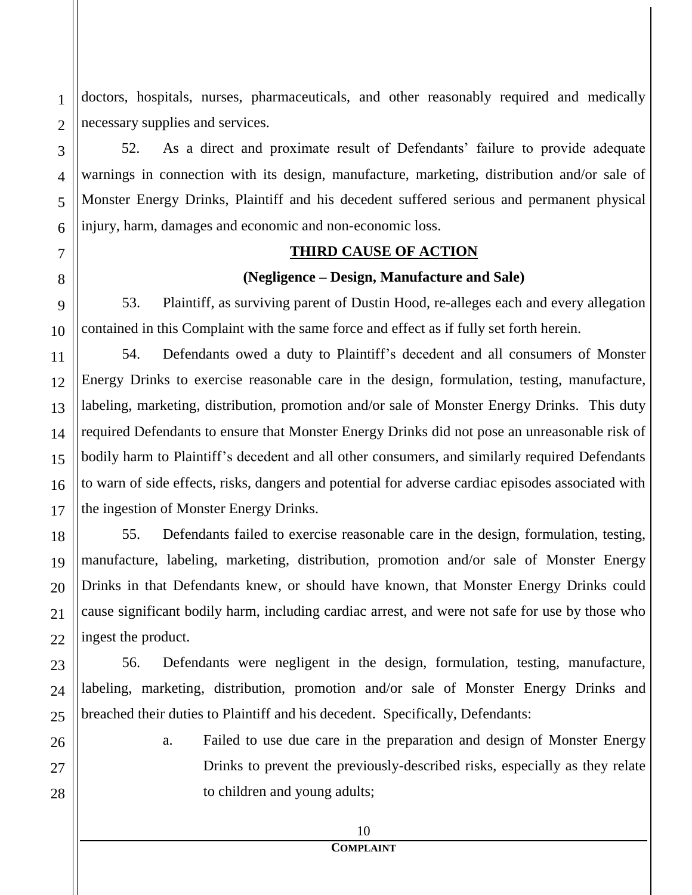doctors, hospitals, nurses, pharmaceuticals, and other reasonably required and medically necessary supplies and services.

52. As a direct and proximate result of Defendants' failure to provide adequate warnings in connection with its design, manufacture, marketing, distribution and/or sale of Monster Energy Drinks, Plaintiff and his decedent suffered serious and permanent physical injury, harm, damages and economic and non-economic loss.

#### **THIRD CAUSE OF ACTION**

#### **(Negligence – Design, Manufacture and Sale)**

53. Plaintiff, as surviving parent of Dustin Hood, re-alleges each and every allegation contained in this Complaint with the same force and effect as if fully set forth herein.

54. Defendants owed a duty to Plaintiff's decedent and all consumers of Monster Energy Drinks to exercise reasonable care in the design, formulation, testing, manufacture, labeling, marketing, distribution, promotion and/or sale of Monster Energy Drinks. This duty required Defendants to ensure that Monster Energy Drinks did not pose an unreasonable risk of bodily harm to Plaintiff's decedent and all other consumers, and similarly required Defendants to warn of side effects, risks, dangers and potential for adverse cardiac episodes associated with the ingestion of Monster Energy Drinks.

55. Defendants failed to exercise reasonable care in the design, formulation, testing, manufacture, labeling, marketing, distribution, promotion and/or sale of Monster Energy Drinks in that Defendants knew, or should have known, that Monster Energy Drinks could cause significant bodily harm, including cardiac arrest, and were not safe for use by those who ingest the product.

56. Defendants were negligent in the design, formulation, testing, manufacture, labeling, marketing, distribution, promotion and/or sale of Monster Energy Drinks and breached their duties to Plaintiff and his decedent. Specifically, Defendants:

> a. Failed to use due care in the preparation and design of Monster Energy Drinks to prevent the previously-described risks, especially as they relate to children and young adults;

1

2

3

4

5

6

7

8

9

10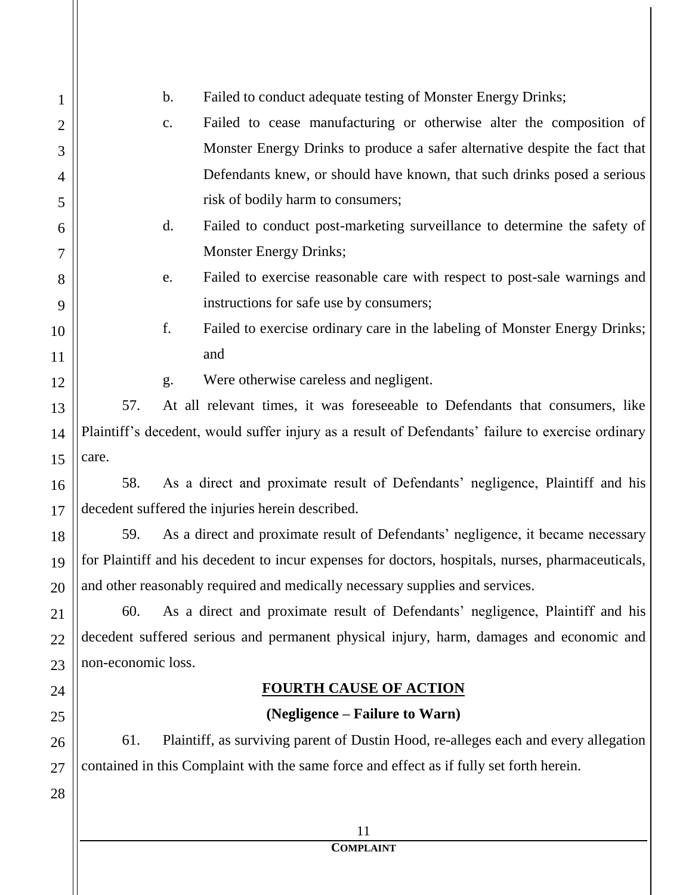| 1              | Failed to conduct adequate testing of Monster Energy Drinks;<br>b.                                |  |  |
|----------------|---------------------------------------------------------------------------------------------------|--|--|
| $\overline{2}$ | Failed to cease manufacturing or otherwise alter the composition of<br>$C_{\bullet}$              |  |  |
| 3              | Monster Energy Drinks to produce a safer alternative despite the fact that                        |  |  |
| $\overline{4}$ | Defendants knew, or should have known, that such drinks posed a serious                           |  |  |
| 5              | risk of bodily harm to consumers;                                                                 |  |  |
| 6              | Failed to conduct post-marketing surveillance to determine the safety of<br>$\mathbf{d}$ .        |  |  |
| 7              | <b>Monster Energy Drinks;</b>                                                                     |  |  |
| 8              | Failed to exercise reasonable care with respect to post-sale warnings and<br>e.                   |  |  |
| 9              | instructions for safe use by consumers;                                                           |  |  |
| 10             | f.<br>Failed to exercise ordinary care in the labeling of Monster Energy Drinks;                  |  |  |
| 11             | and                                                                                               |  |  |
| 12             | Were otherwise careless and negligent.<br>g.                                                      |  |  |
| 13             | 57.<br>At all relevant times, it was foreseeable to Defendants that consumers, like               |  |  |
| 14             | Plaintiff's decedent, would suffer injury as a result of Defendants' failure to exercise ordinary |  |  |
| 15             | care.                                                                                             |  |  |
| 16             | As a direct and proximate result of Defendants' negligence, Plaintiff and his<br>58.              |  |  |
| 17             | decedent suffered the injuries herein described.                                                  |  |  |
| 18             | As a direct and proximate result of Defendants' negligence, it became necessary<br>59.            |  |  |
| 19             | for Plaintiff and his decedent to incur expenses for doctors, hospitals, nurses, pharmaceuticals, |  |  |
| 20             | and other reasonably required and medically necessary supplies and services.                      |  |  |
| 21             | As a direct and proximate result of Defendants' negligence, Plaintiff and his<br>60.              |  |  |
| 22             | decedent suffered serious and permanent physical injury, harm, damages and economic and           |  |  |
| 23             | non-economic loss.                                                                                |  |  |
| 24             | <b>FOURTH CAUSE OF ACTION</b>                                                                     |  |  |
| 25             | (Negligence – Failure to Warn)                                                                    |  |  |
| 26             | 61.<br>Plaintiff, as surviving parent of Dustin Hood, re-alleges each and every allegation        |  |  |
| 27             | contained in this Complaint with the same force and effect as if fully set forth herein.          |  |  |
| 28             |                                                                                                   |  |  |
|                | 11                                                                                                |  |  |
|                | <b>COMPLAINT</b>                                                                                  |  |  |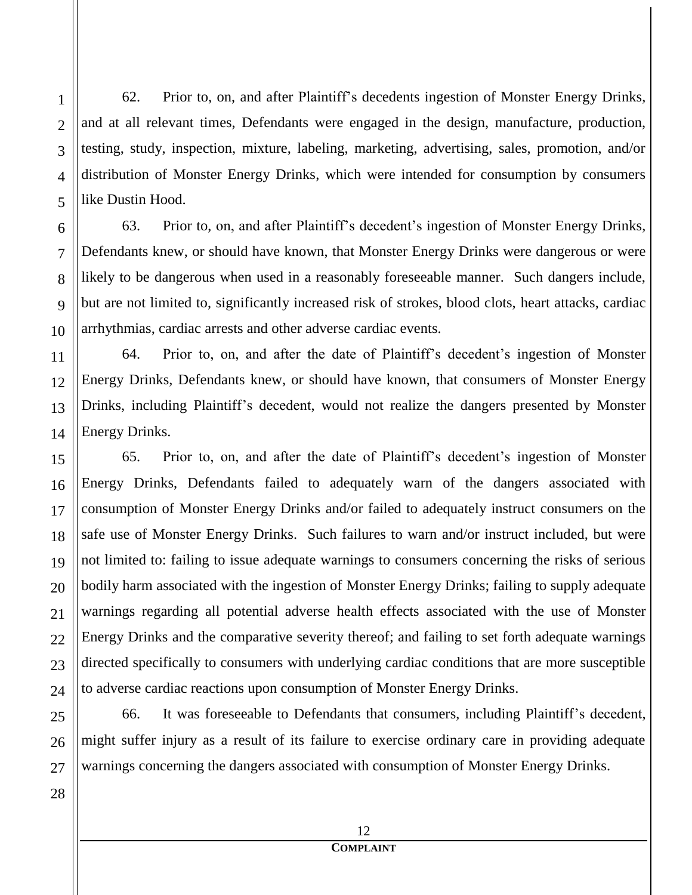62. Prior to, on, and after Plaintiff's decedents ingestion of Monster Energy Drinks, and at all relevant times, Defendants were engaged in the design, manufacture, production, testing, study, inspection, mixture, labeling, marketing, advertising, sales, promotion, and/or distribution of Monster Energy Drinks, which were intended for consumption by consumers like Dustin Hood.

63. Prior to, on, and after Plaintiff's decedent's ingestion of Monster Energy Drinks, Defendants knew, or should have known, that Monster Energy Drinks were dangerous or were likely to be dangerous when used in a reasonably foreseeable manner. Such dangers include, but are not limited to, significantly increased risk of strokes, blood clots, heart attacks, cardiac arrhythmias, cardiac arrests and other adverse cardiac events.

64. Prior to, on, and after the date of Plaintiff's decedent's ingestion of Monster Energy Drinks, Defendants knew, or should have known, that consumers of Monster Energy Drinks, including Plaintiff's decedent, would not realize the dangers presented by Monster Energy Drinks.

65. Prior to, on, and after the date of Plaintiff's decedent's ingestion of Monster Energy Drinks, Defendants failed to adequately warn of the dangers associated with consumption of Monster Energy Drinks and/or failed to adequately instruct consumers on the safe use of Monster Energy Drinks. Such failures to warn and/or instruct included, but were not limited to: failing to issue adequate warnings to consumers concerning the risks of serious bodily harm associated with the ingestion of Monster Energy Drinks; failing to supply adequate warnings regarding all potential adverse health effects associated with the use of Monster Energy Drinks and the comparative severity thereof; and failing to set forth adequate warnings directed specifically to consumers with underlying cardiac conditions that are more susceptible to adverse cardiac reactions upon consumption of Monster Energy Drinks.

66. It was foreseeable to Defendants that consumers, including Plaintiff's decedent, might suffer injury as a result of its failure to exercise ordinary care in providing adequate warnings concerning the dangers associated with consumption of Monster Energy Drinks.

1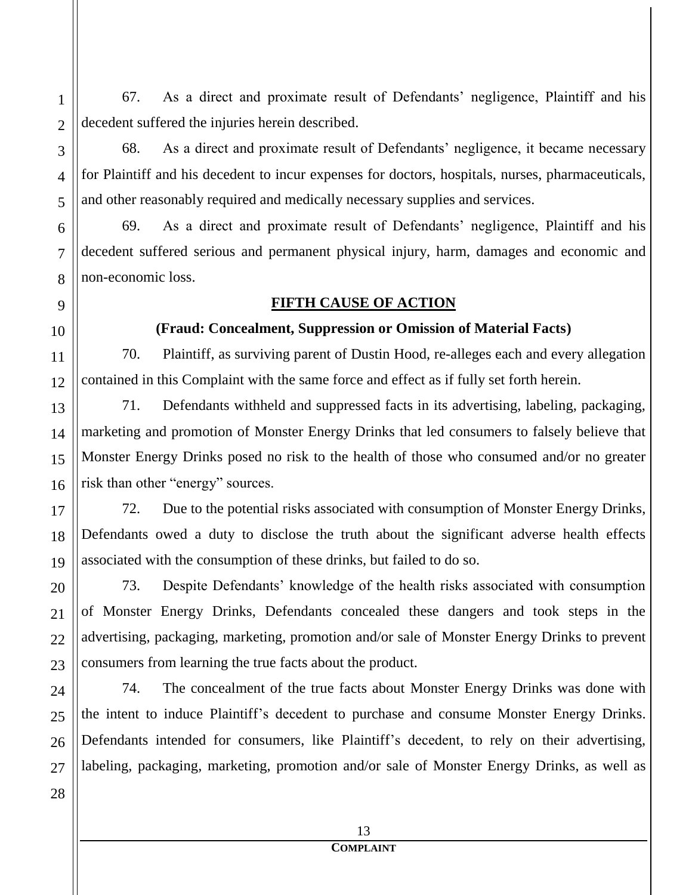67. As a direct and proximate result of Defendants' negligence, Plaintiff and his decedent suffered the injuries herein described.

68. As a direct and proximate result of Defendants' negligence, it became necessary for Plaintiff and his decedent to incur expenses for doctors, hospitals, nurses, pharmaceuticals, and other reasonably required and medically necessary supplies and services.

69. As a direct and proximate result of Defendants' negligence, Plaintiff and his decedent suffered serious and permanent physical injury, harm, damages and economic and non-economic loss.

#### **FIFTH CAUSE OF ACTION**

### **(Fraud: Concealment, Suppression or Omission of Material Facts)**

70. Plaintiff, as surviving parent of Dustin Hood, re-alleges each and every allegation contained in this Complaint with the same force and effect as if fully set forth herein.

71. Defendants withheld and suppressed facts in its advertising, labeling, packaging, marketing and promotion of Monster Energy Drinks that led consumers to falsely believe that Monster Energy Drinks posed no risk to the health of those who consumed and/or no greater risk than other "energy" sources.

72. Due to the potential risks associated with consumption of Monster Energy Drinks, Defendants owed a duty to disclose the truth about the significant adverse health effects associated with the consumption of these drinks, but failed to do so.

73. Despite Defendants' knowledge of the health risks associated with consumption of Monster Energy Drinks, Defendants concealed these dangers and took steps in the advertising, packaging, marketing, promotion and/or sale of Monster Energy Drinks to prevent consumers from learning the true facts about the product.

74. The concealment of the true facts about Monster Energy Drinks was done with the intent to induce Plaintiff's decedent to purchase and consume Monster Energy Drinks. Defendants intended for consumers, like Plaintiff's decedent, to rely on their advertising, labeling, packaging, marketing, promotion and/or sale of Monster Energy Drinks, as well as

13

28

1

2

3

4

5

6

7

8

9

10

11

12

13

14

15

16

17

18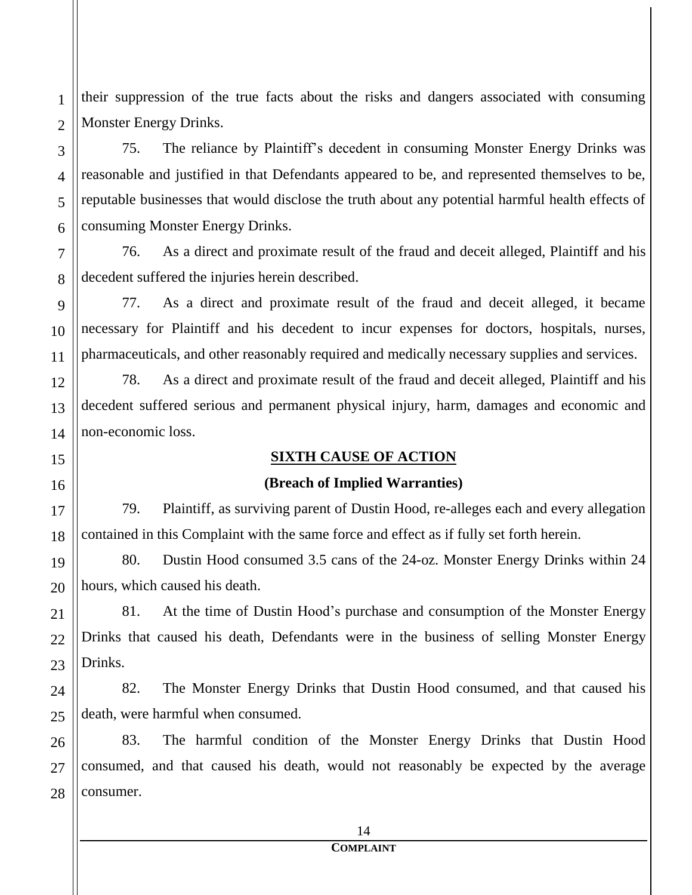their suppression of the true facts about the risks and dangers associated with consuming Monster Energy Drinks.

75. The reliance by Plaintiff's decedent in consuming Monster Energy Drinks was reasonable and justified in that Defendants appeared to be, and represented themselves to be, reputable businesses that would disclose the truth about any potential harmful health effects of consuming Monster Energy Drinks.

76. As a direct and proximate result of the fraud and deceit alleged, Plaintiff and his decedent suffered the injuries herein described.

77. As a direct and proximate result of the fraud and deceit alleged, it became necessary for Plaintiff and his decedent to incur expenses for doctors, hospitals, nurses, pharmaceuticals, and other reasonably required and medically necessary supplies and services.

78. As a direct and proximate result of the fraud and deceit alleged, Plaintiff and his decedent suffered serious and permanent physical injury, harm, damages and economic and non-economic loss.

#### **SIXTH CAUSE OF ACTION**

#### **(Breach of Implied Warranties)**

79. Plaintiff, as surviving parent of Dustin Hood, re-alleges each and every allegation contained in this Complaint with the same force and effect as if fully set forth herein.

80. Dustin Hood consumed 3.5 cans of the 24-oz. Monster Energy Drinks within 24 hours, which caused his death.

81. At the time of Dustin Hood's purchase and consumption of the Monster Energy Drinks that caused his death, Defendants were in the business of selling Monster Energy Drinks.

82. The Monster Energy Drinks that Dustin Hood consumed, and that caused his death, were harmful when consumed.

28 83. The harmful condition of the Monster Energy Drinks that Dustin Hood consumed, and that caused his death, would not reasonably be expected by the average consumer.

1

2

3

4

5

6

7

8

9

10

11

12

13

14

15

16

17

18

19

20

21

22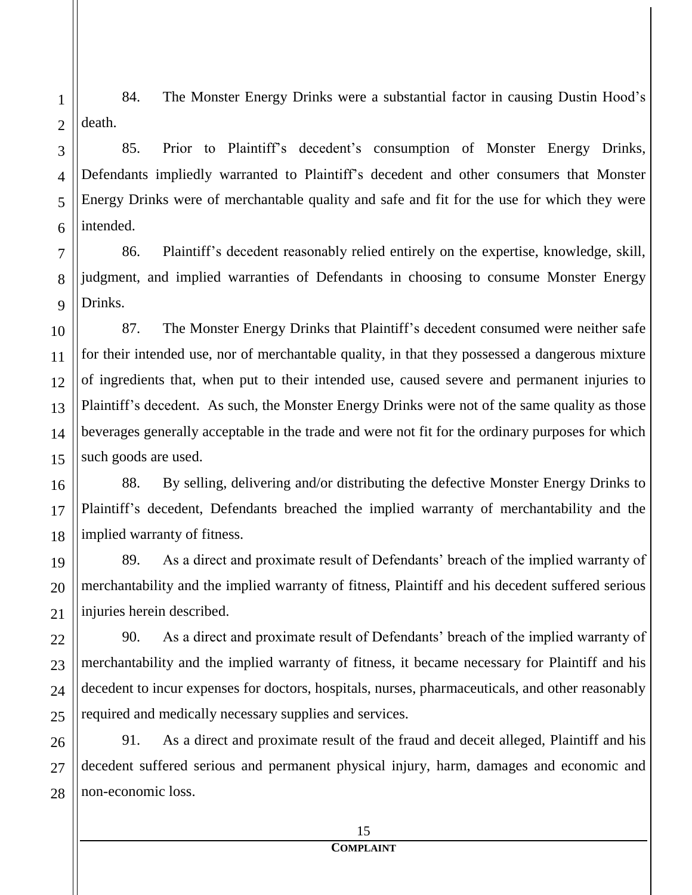1 2 84. The Monster Energy Drinks were a substantial factor in causing Dustin Hood's death.

# 85. Prior to Plaintiff's decedent's consumption of Monster Energy Drinks, Defendants impliedly warranted to Plaintiff's decedent and other consumers that Monster Energy Drinks were of merchantable quality and safe and fit for the use for which they were intended.

86. Plaintiff's decedent reasonably relied entirely on the expertise, knowledge, skill, judgment, and implied warranties of Defendants in choosing to consume Monster Energy Drinks.

87. The Monster Energy Drinks that Plaintiff's decedent consumed were neither safe for their intended use, nor of merchantable quality, in that they possessed a dangerous mixture of ingredients that, when put to their intended use, caused severe and permanent injuries to Plaintiff's decedent. As such, the Monster Energy Drinks were not of the same quality as those beverages generally acceptable in the trade and were not fit for the ordinary purposes for which such goods are used.

88. By selling, delivering and/or distributing the defective Monster Energy Drinks to Plaintiff's decedent, Defendants breached the implied warranty of merchantability and the implied warranty of fitness.

89. As a direct and proximate result of Defendants' breach of the implied warranty of merchantability and the implied warranty of fitness, Plaintiff and his decedent suffered serious injuries herein described.

90. As a direct and proximate result of Defendants' breach of the implied warranty of merchantability and the implied warranty of fitness, it became necessary for Plaintiff and his decedent to incur expenses for doctors, hospitals, nurses, pharmaceuticals, and other reasonably required and medically necessary supplies and services.

91. As a direct and proximate result of the fraud and deceit alleged, Plaintiff and his decedent suffered serious and permanent physical injury, harm, damages and economic and non-economic loss.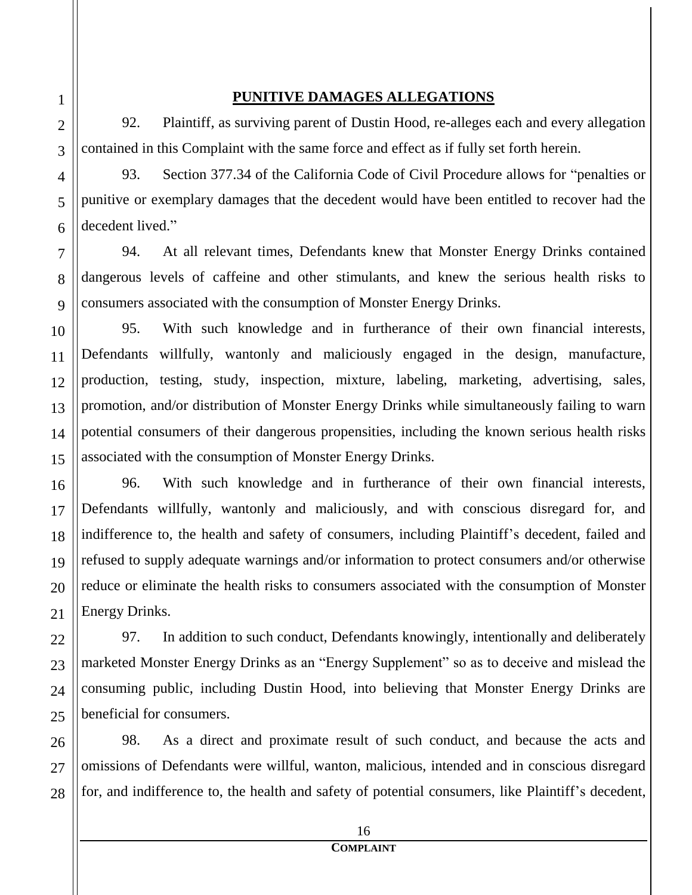#### **PUNITIVE DAMAGES ALLEGATIONS**

92. Plaintiff, as surviving parent of Dustin Hood, re-alleges each and every allegation contained in this Complaint with the same force and effect as if fully set forth herein.

93. Section 377.34 of the California Code of Civil Procedure allows for "penalties or punitive or exemplary damages that the decedent would have been entitled to recover had the decedent lived."

94. At all relevant times, Defendants knew that Monster Energy Drinks contained dangerous levels of caffeine and other stimulants, and knew the serious health risks to consumers associated with the consumption of Monster Energy Drinks.

95. With such knowledge and in furtherance of their own financial interests, Defendants willfully, wantonly and maliciously engaged in the design, manufacture, production, testing, study, inspection, mixture, labeling, marketing, advertising, sales, promotion, and/or distribution of Monster Energy Drinks while simultaneously failing to warn potential consumers of their dangerous propensities, including the known serious health risks associated with the consumption of Monster Energy Drinks.

96. With such knowledge and in furtherance of their own financial interests, Defendants willfully, wantonly and maliciously, and with conscious disregard for, and indifference to, the health and safety of consumers, including Plaintiff's decedent, failed and refused to supply adequate warnings and/or information to protect consumers and/or otherwise reduce or eliminate the health risks to consumers associated with the consumption of Monster Energy Drinks.

97. In addition to such conduct, Defendants knowingly, intentionally and deliberately marketed Monster Energy Drinks as an "Energy Supplement" so as to deceive and mislead the consuming public, including Dustin Hood, into believing that Monster Energy Drinks are beneficial for consumers.

98. As a direct and proximate result of such conduct, and because the acts and omissions of Defendants were willful, wanton, malicious, intended and in conscious disregard for, and indifference to, the health and safety of potential consumers, like Plaintiff's decedent,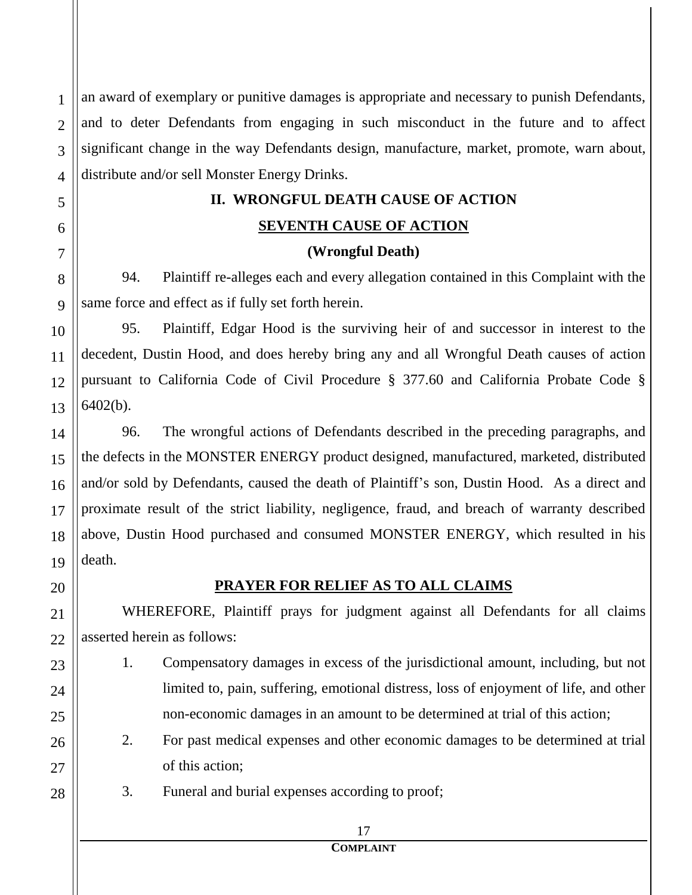1 2 3 4 an award of exemplary or punitive damages is appropriate and necessary to punish Defendants, and to deter Defendants from engaging in such misconduct in the future and to affect significant change in the way Defendants design, manufacture, market, promote, warn about, distribute and/or sell Monster Energy Drinks.

#### **II. WRONGFUL DEATH CAUSE OF ACTION**

## **SEVENTH CAUSE OF ACTION**

#### **(Wrongful Death)**

94. Plaintiff re-alleges each and every allegation contained in this Complaint with the same force and effect as if fully set forth herein.

95. Plaintiff, Edgar Hood is the surviving heir of and successor in interest to the decedent, Dustin Hood, and does hereby bring any and all Wrongful Death causes of action pursuant to California Code of Civil Procedure § 377.60 and California Probate Code § 6402(b).

96. The wrongful actions of Defendants described in the preceding paragraphs, and the defects in the MONSTER ENERGY product designed, manufactured, marketed, distributed and/or sold by Defendants, caused the death of Plaintiff's son, Dustin Hood. As a direct and proximate result of the strict liability, negligence, fraud, and breach of warranty described above, Dustin Hood purchased and consumed MONSTER ENERGY, which resulted in his death.

20

21

22

23

24

25

26

27

28

5

6

7

8

9

10

11

12

13

14

15

16

17

18

19

# **PRAYER FOR RELIEF AS TO ALL CLAIMS**

WHEREFORE, Plaintiff prays for judgment against all Defendants for all claims asserted herein as follows:

- 1. Compensatory damages in excess of the jurisdictional amount, including, but not limited to, pain, suffering, emotional distress, loss of enjoyment of life, and other non-economic damages in an amount to be determined at trial of this action;
	- 2. For past medical expenses and other economic damages to be determined at trial of this action;
	- 3. Funeral and burial expenses according to proof;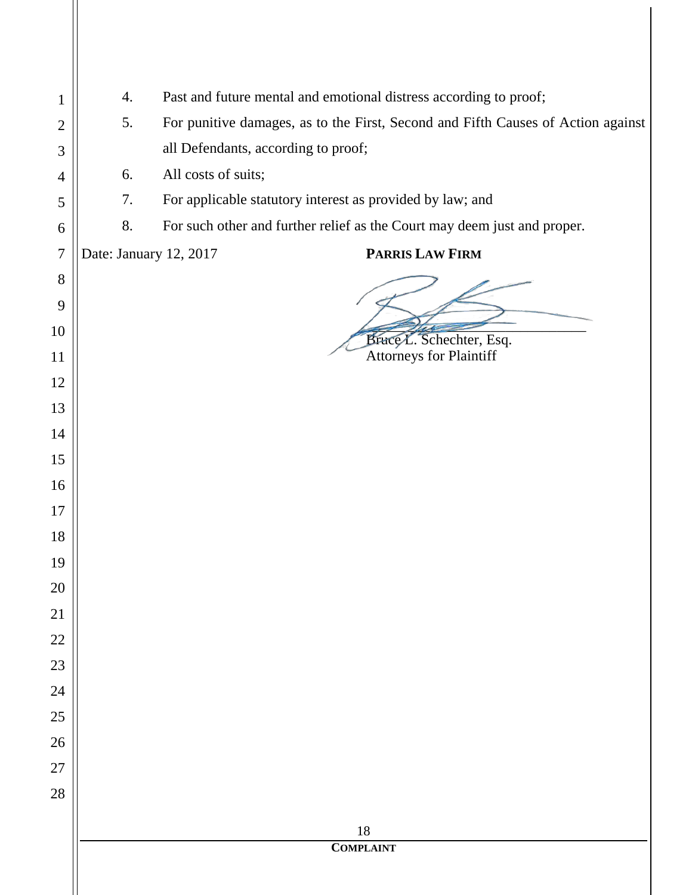| 1              | 4. | Past and future mental and emotional distress according to proof;                |  |
|----------------|----|----------------------------------------------------------------------------------|--|
| $\overline{2}$ | 5. | For punitive damages, as to the First, Second and Fifth Causes of Action against |  |
| 3              |    | all Defendants, according to proof;                                              |  |
| $\overline{4}$ | 6. | All costs of suits;                                                              |  |
| 5              | 7. | For applicable statutory interest as provided by law; and                        |  |
| 6              | 8. | For such other and further relief as the Court may deem just and proper.         |  |
| $\overline{7}$ |    | PARRIS LAW FIRM<br>Date: January 12, 2017                                        |  |
| 8              |    |                                                                                  |  |
| 9              |    |                                                                                  |  |
| 10             |    | Brace L. Schechter, Esq.                                                         |  |
| 11             |    | <b>Attorneys for Plaintiff</b>                                                   |  |
| 12             |    |                                                                                  |  |
| 13             |    |                                                                                  |  |
| 14             |    |                                                                                  |  |
| 15             |    |                                                                                  |  |
| 16             |    |                                                                                  |  |
| 17             |    |                                                                                  |  |
| 18             |    |                                                                                  |  |
| 19             |    |                                                                                  |  |
| 20             |    |                                                                                  |  |
| 21             |    |                                                                                  |  |
| 22             |    |                                                                                  |  |
| 23             |    |                                                                                  |  |
| 24             |    |                                                                                  |  |
| 25             |    |                                                                                  |  |
| 26             |    |                                                                                  |  |
| 27             |    |                                                                                  |  |
| 28             |    |                                                                                  |  |
|                |    | 18                                                                               |  |
|                |    | <b>COMPLAINT</b>                                                                 |  |
|                |    |                                                                                  |  |